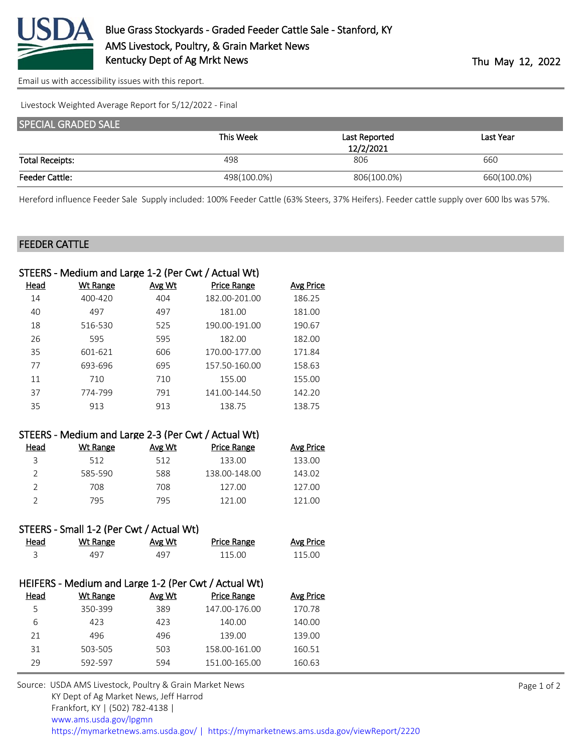

[Email us with accessibility issues with this report.](mailto:mars@ams.usda.gov?subject=508%20issue)

Livestock Weighted Average Report for 5/12/2022 - Final

| <b>SPECIAL GRADED SALE</b> |             |               |             |
|----------------------------|-------------|---------------|-------------|
|                            | This Week   | Last Reported | Last Year   |
|                            |             | 12/2/2021     |             |
| <b>Total Receipts:</b>     | 498         | 806           | 660         |
| <b>Feeder Cattle:</b>      | 498(100.0%) | 806(100.0%)   | 660(100.0%) |

Hereford influence Feeder Sale Supply included: 100% Feeder Cattle (63% Steers, 37% Heifers). Feeder cattle supply over 600 lbs was 57%.

## FEEDER CATTLE

|                | STEERS - Medium and Large 1-2 (Per Cwt / Actual Wt)  |               |                    |                  |
|----------------|------------------------------------------------------|---------------|--------------------|------------------|
| <u>Head</u>    | <b>Wt Range</b>                                      | Avg Wt        | <b>Price Range</b> | <b>Avg Price</b> |
| 14             | 400-420                                              | 404           | 182.00-201.00      | 186.25           |
| 40             | 497                                                  | 497           | 181.00             | 181.00           |
| 18             | 516-530                                              | 525           | 190.00-191.00      | 190.67           |
| 26             | 595                                                  | 595           | 182.00             | 182.00           |
| 35             | 601-621                                              | 606           | 170.00-177.00      | 171.84           |
| 77             | 693-696                                              | 695           | 157.50-160.00      | 158.63           |
| 11             | 710                                                  | 710           | 155.00             | 155.00           |
| 37             | 774-799                                              | 791           | 141.00-144.50      | 142.20           |
| 35             | 913                                                  | 913           | 138.75             | 138.75           |
|                |                                                      |               |                    |                  |
|                | STEERS - Medium and Large 2-3 (Per Cwt / Actual Wt)  |               |                    |                  |
| Head           | <b>Wt Range</b>                                      | Avg Wt        | <b>Price Range</b> | <b>Avg Price</b> |
| 3              | 512                                                  | 512           | 133.00             | 133.00           |
| $\overline{2}$ | 585-590                                              | 588           | 138.00-148.00      | 143.02           |
| $\overline{2}$ | 708                                                  | 708           | 127.00             | 127.00           |
| $\overline{2}$ | 795                                                  | 795           | 121.00             | 121.00           |
|                |                                                      |               |                    |                  |
|                | STEERS - Small 1-2 (Per Cwt / Actual Wt)             |               |                    |                  |
| <u>Head</u>    | <b>Wt Range</b>                                      | <b>Avg Wt</b> | <b>Price Range</b> | <b>Avg Price</b> |
| 3              | 497                                                  | 497           | 115.00             | 115.00           |
|                |                                                      |               |                    |                  |
|                | HEIFERS - Medium and Large 1-2 (Per Cwt / Actual Wt) |               |                    |                  |
| <u>Head</u>    | <b>Wt Range</b>                                      | Avg Wt        | <b>Price Range</b> | <b>Avg Price</b> |
| 5              | 350-399                                              | 389           | 147.00-176.00      | 170.78           |
| 6              | 423                                                  | 423           | 140.00             | 140.00           |
| 21             | 496                                                  | 496           | 139.00             | 139.00           |
| 31             | 503-505                                              | 503           | 158.00-161.00      | 160.51           |
| 29             | 592-597                                              | 594           | 151.00-165.00      | 160.63           |